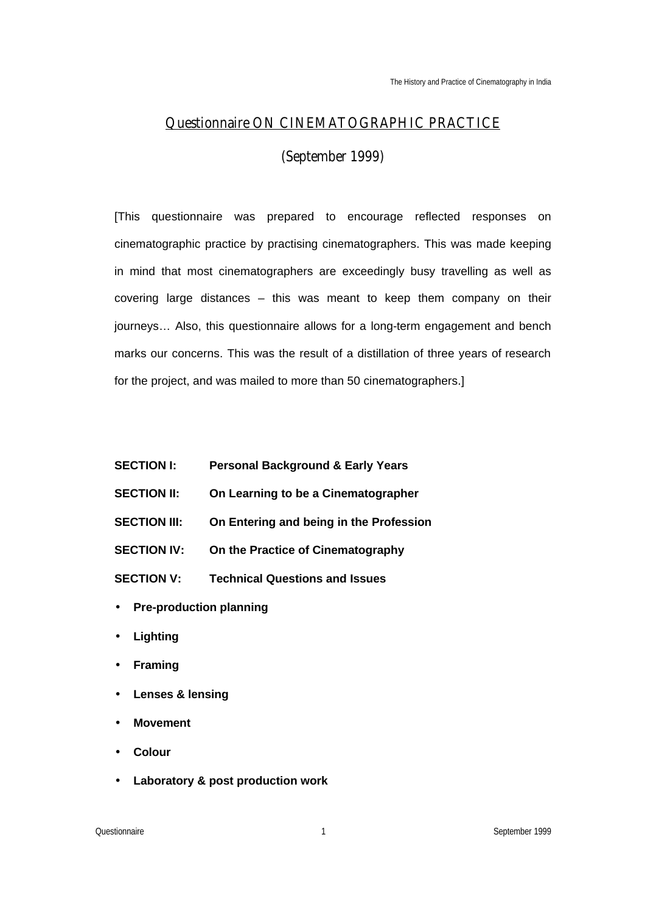# **Questionnaire ON CINEMATOGRAPHIC PRACTICE**

(September 1999)

[This questionnaire was prepared to encourage reflected responses on cinematographic practice by practising cinematographers. This was made keeping in mind that most cinematographers are exceedingly busy travelling as well as covering large distances – this was meant to keep them company on their journeys... Also, this questionnaire allows for a long-term engagement and bench marks our concerns. This was the result of a distillation of three years of research for the project, and was mailed to more than 50 cinematographers.]

- **SECTION I: Personal Background & Early Years**
- **SECTION II: On Learning to be a Cinematographer**
- **SECTION III: On Entering and being in the Profession**
- **SECTION IV: On the Practice of Cinematography**
- **SECTION V: Technical Questions and Issues**
- **Pre-production planning**
- **Lighting**
- **Framing**
- **Lenses & lensing**
- **Movement**
- **Colour**
- **Laboratory & post production work**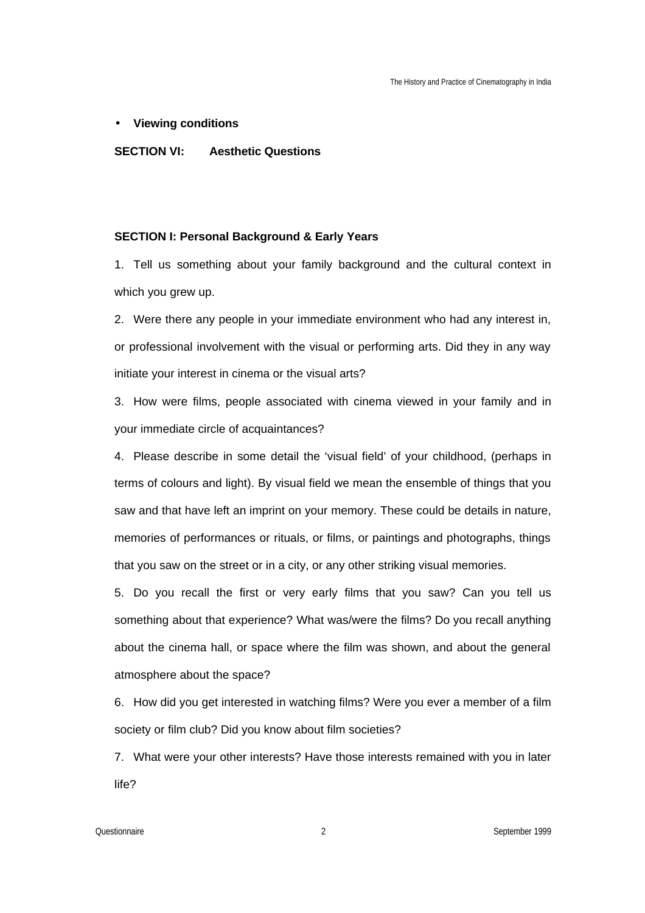### • **Viewing conditions**

### **SECTION VI: Aesthetic Questions**

#### **SECTION I: Personal Background & Early Years**

1. Tell us something about your family background and the cultural context in which you grew up.

2. Were there any people in your immediate environment who had any interest in, or professional involvement with the visual or performing arts. Did they in any way initiate your interest in cinema or the visual arts?

3. How were films, people associated with cinema viewed in your family and in your immediate circle of acquaintances?

4. Please describe in some detail the 'visual field' of your childhood, (perhaps in terms of colours and light). By visual field we mean the ensemble of things that you saw and that have left an imprint on your memory. These could be details in nature, memories of performances or rituals, or films, or paintings and photographs, things that you saw on the street or in a city, or any other striking visual memories.

5. Do you recall the first or very early films that you saw? Can you tell us something about that experience? What was/were the films? Do you recall anything about the cinema hall, or space where the film was shown, and about the general atmosphere about the space?

6. How did you get interested in watching films? Were you ever a member of a film society or film club? Did you know about film societies?

7. What were your other interests? Have those interests remained with you in later life?

Questionnaire 2 September 1999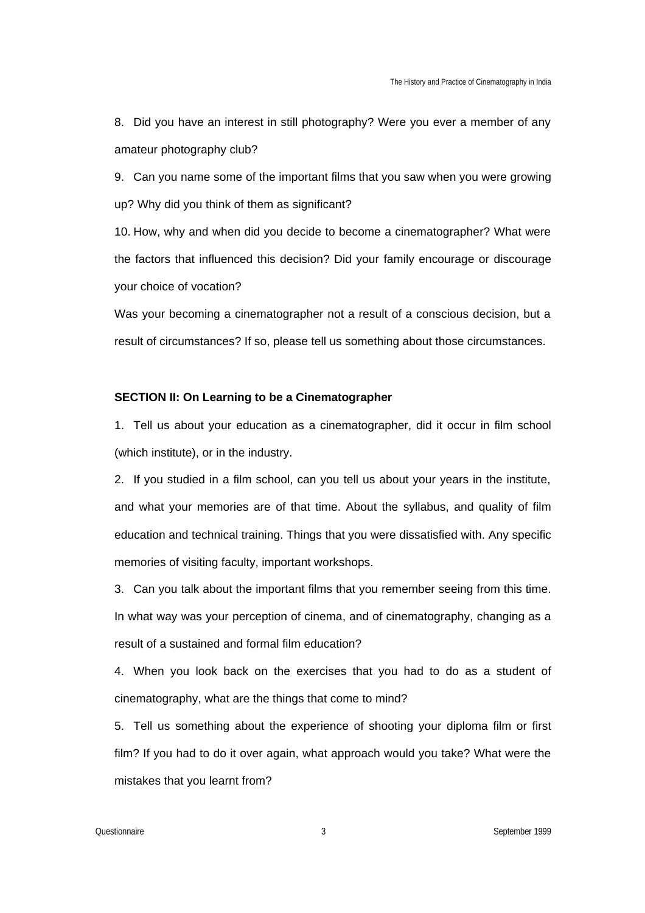8. Did you have an interest in still photography? Were you ever a member of any amateur photography club?

9. Can you name some of the important films that you saw when you were growing up? Why did you think of them as significant?

10. How, why and when did you decide to become a cinematographer? What were the factors that influenced this decision? Did your family encourage or discourage your choice of vocation?

Was your becoming a cinematographer not a result of a conscious decision, but a result of circumstances? If so, please tell us something about those circumstances.

# **SECTION II: On Learning to be a Cinematographer**

1. Tell us about your education as a cinematographer, did it occur in film school (which institute), or in the industry.

2. If you studied in a film school, can you tell us about your years in the institute, and what your memories are of that time. About the syllabus, and quality of film education and technical training. Things that you were dissatisfied with. Any specific memories of visiting faculty, important workshops.

3. Can you talk about the important films that you remember seeing from this time. In what way was your perception of cinema, and of cinematography, changing as a result of a sustained and formal film education?

4. When you look back on the exercises that you had to do as a student of cinematography, what are the things that come to mind?

5. Tell us something about the experience of shooting your diploma film or first film? If you had to do it over again, what approach would you take? What were the mistakes that you learnt from?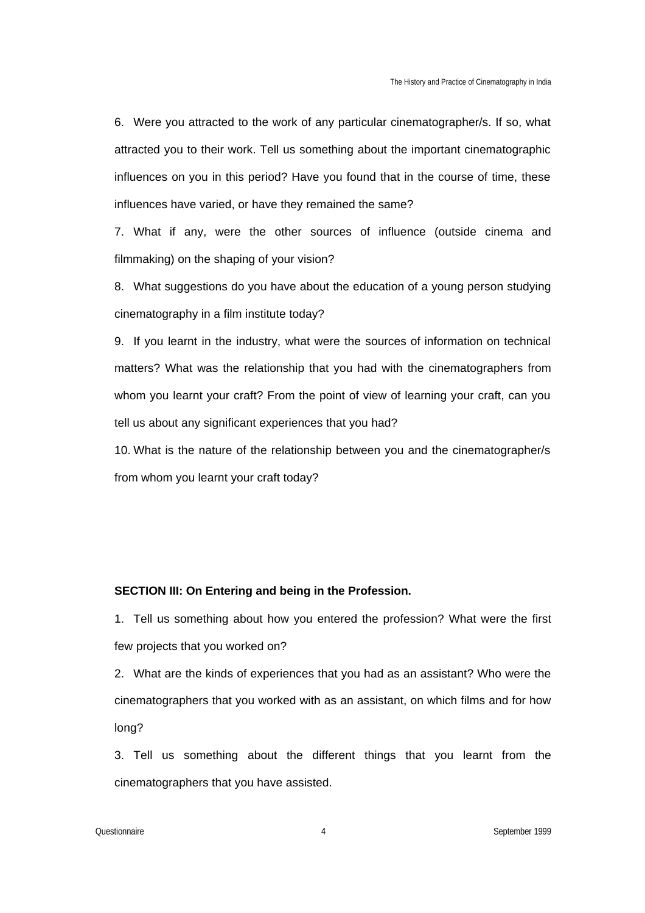6. Were you attracted to the work of any particular cinematographer/s. If so, what attracted you to their work. Tell us something about the important cinematographic influences on you in this period? Have you found that in the course of time, these influences have varied, or have they remained the same?

7. What if any, were the other sources of influence (outside cinema and filmmaking) on the shaping of your vision?

8. What suggestions do you have about the education of a young person studying cinematography in a film institute today?

9. If you learnt in the industry, what were the sources of information on technical matters? What was the relationship that you had with the cinematographers from whom you learnt your craft? From the point of view of learning your craft, can you tell us about any significant experiences that you had?

10. What is the nature of the relationship between you and the cinematographer/s from whom you learnt your craft today?

# **SECTION III: On Entering and being in the Profession.**

1. Tell us something about how you entered the profession? What were the first few projects that you worked on?

2. What are the kinds of experiences that you had as an assistant? Who were the cinematographers that you worked with as an assistant, on which films and for how long?

3. Tell us something about the different things that you learnt from the cinematographers that you have assisted.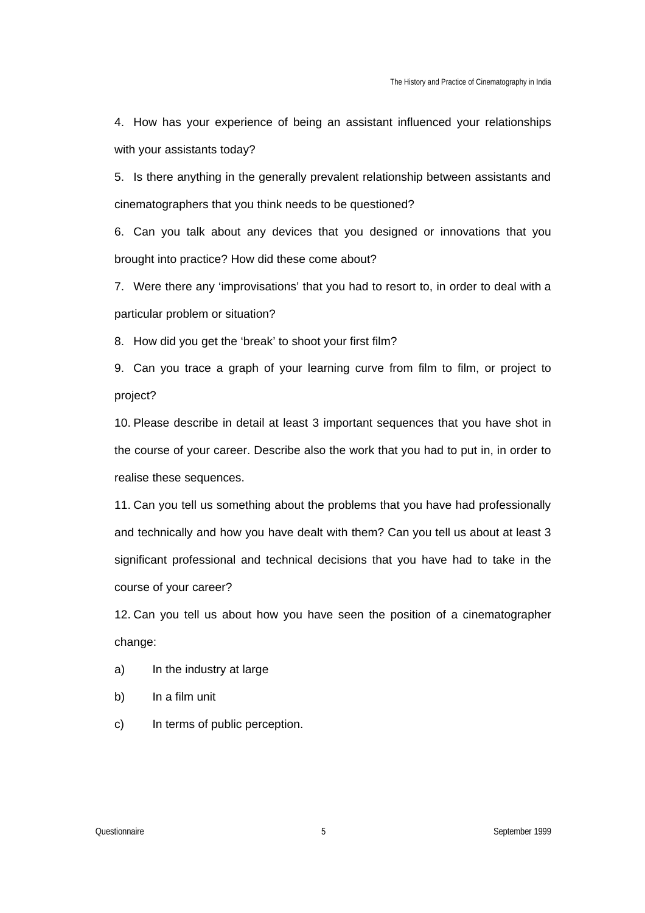4. How has your experience of being an assistant influenced your relationships with your assistants today?

5. Is there anything in the generally prevalent relationship between assistants and cinematographers that you think needs to be questioned?

6. Can you talk about any devices that you designed or innovations that you brought into practice? How did these come about?

7. Were there any 'improvisations' that you had to resort to, in order to deal with a particular problem or situation?

8. How did you get the 'break' to shoot your first film?

9. Can you trace a graph of your learning curve from film to film, or project to project?

10. Please describe in detail at least 3 important sequences that you have shot in the course of your career. Describe also the work that you had to put in, in order to realise these sequences.

11. Can you tell us something about the problems that you have had professionally and technically and how you have dealt with them? Can you tell us about at least 3 significant professional and technical decisions that you have had to take in the course of your career?

12. Can you tell us about how you have seen the position of a cinematographer change:

- a) In the industry at large
- b) In a film unit
- c) In terms of public perception.

Questionnaire 5 September 1999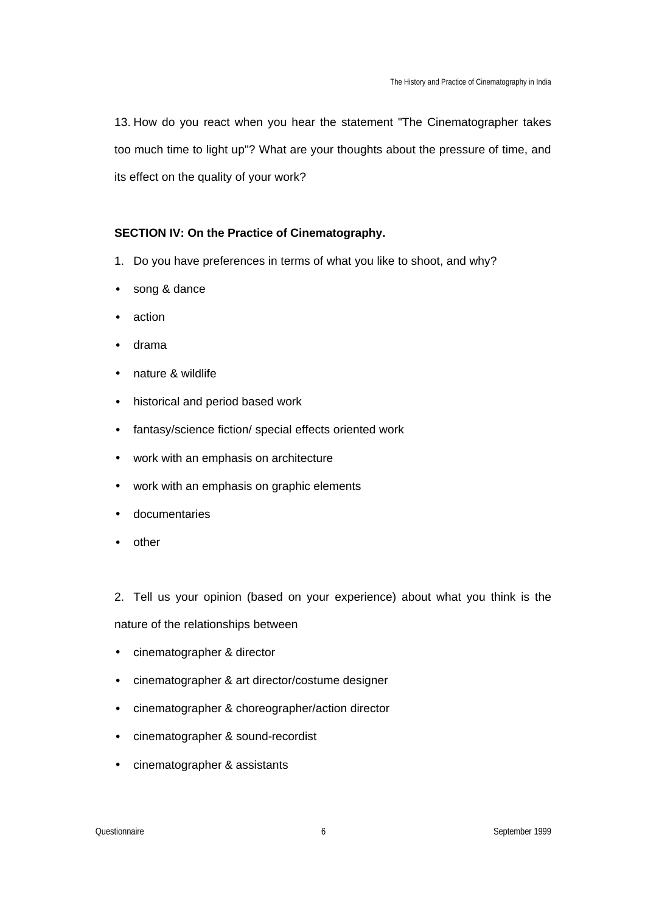13. How do you react when you hear the statement "The Cinematographer takes too much time to light up"? What are your thoughts about the pressure of time, and its effect on the quality of your work?

# **SECTION IV: On the Practice of Cinematography.**

- 1. Do you have preferences in terms of what you like to shoot, and why?
- song & dance
- action
- drama
- nature & wildlife
- historical and period based work
- fantasy/science fiction/ special effects oriented work
- work with an emphasis on architecture
- work with an emphasis on graphic elements
- documentaries
- other

2. Tell us your opinion (based on your experience) about what you think is the nature of the relationships between

- cinematographer & director
- cinematographer & art director/costume designer
- cinematographer & choreographer/action director
- cinematographer & sound-recordist
- cinematographer & assistants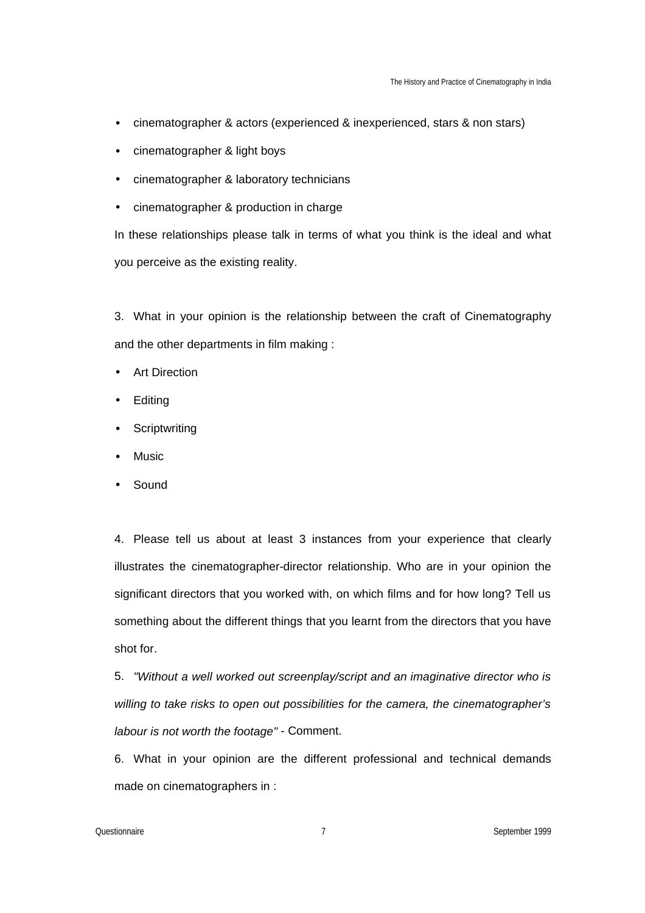- cinematographer & actors (experienced & inexperienced, stars & non stars)
- cinematographer & light boys
- cinematographer & laboratory technicians
- cinematographer & production in charge

In these relationships please talk in terms of what you think is the ideal and what you perceive as the existing reality.

3. What in your opinion is the relationship between the craft of Cinematography and the other departments in film making :

- Art Direction
- Editing
- **Scriptwriting**
- **Music**
- Sound

4. Please tell us about at least 3 instances from your experience that clearly illustrates the cinematographer-director relationship. Who are in your opinion the significant directors that you worked with, on which films and for how long? Tell us something about the different things that you learnt from the directors that you have shot for.

5. *"Without a well worked out screenplay/script and an imaginative director who is willing to take risks to open out possibilities for the camera, the cinematographer's labour is not worth the footage"* - Comment.

6. What in your opinion are the different professional and technical demands made on cinematographers in :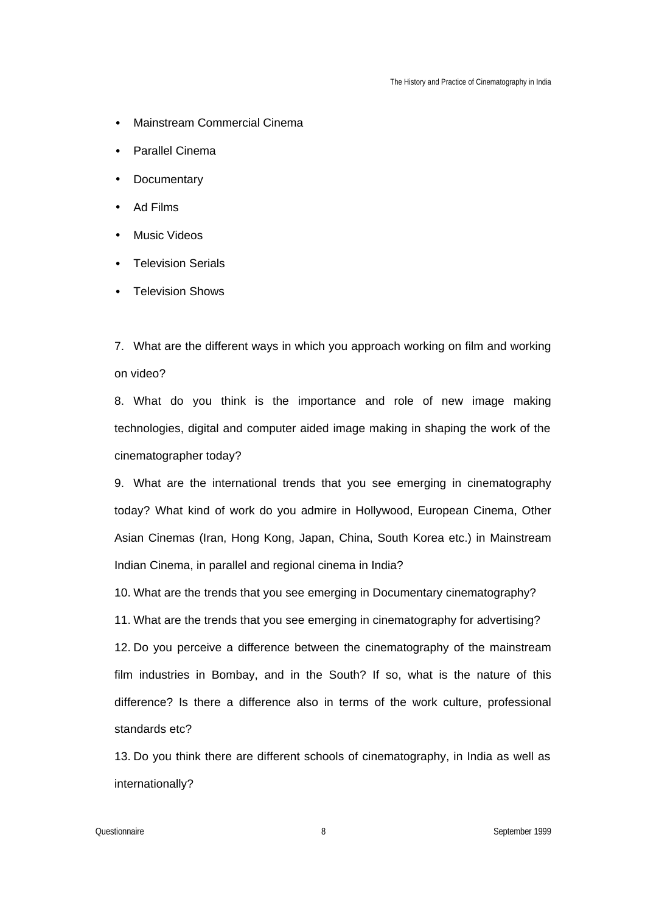- Mainstream Commercial Cinema
- Parallel Cinema
- Documentary
- Ad Films
- Music Videos
- Television Serials
- Television Shows

7. What are the different ways in which you approach working on film and working on video?

8. What do you think is the importance and role of new image making technologies, digital and computer aided image making in shaping the work of the cinematographer today?

9. What are the international trends that you see emerging in cinematography today? What kind of work do you admire in Hollywood, European Cinema, Other Asian Cinemas (Iran, Hong Kong, Japan, China, South Korea etc.) in Mainstream Indian Cinema, in parallel and regional cinema in India?

10. What are the trends that you see emerging in Documentary cinematography?

11. What are the trends that you see emerging in cinematography for advertising?

12. Do you perceive a difference between the cinematography of the mainstream film industries in Bombay, and in the South? If so, what is the nature of this difference? Is there a difference also in terms of the work culture, professional standards etc?

13. Do you think there are different schools of cinematography, in India as well as internationally?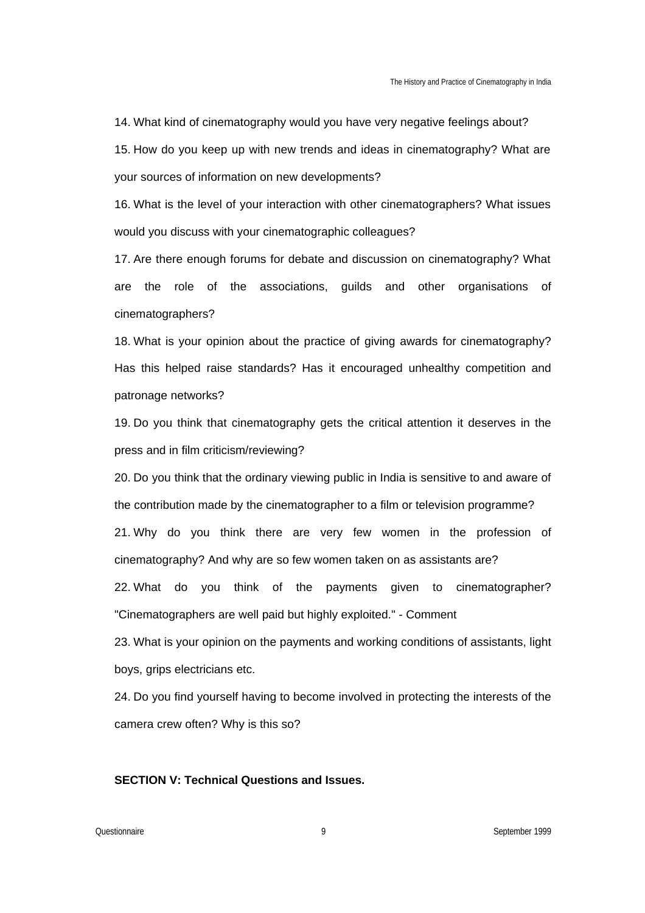14. What kind of cinematography would you have very negative feelings about? 15. How do you keep up with new trends and ideas in cinematography? What are your sources of information on new developments?

16. What is the level of your interaction with other cinematographers? What issues would you discuss with your cinematographic colleagues?

17. Are there enough forums for debate and discussion on cinematography? What are the role of the associations, guilds and other organisations of cinematographers?

18. What is your opinion about the practice of giving awards for cinematography? Has this helped raise standards? Has it encouraged unhealthy competition and patronage networks?

19. Do you think that cinematography gets the critical attention it deserves in the press and in film criticism/reviewing?

20. Do you think that the ordinary viewing public in India is sensitive to and aware of the contribution made by the cinematographer to a film or television programme? 21. Why do you think there are very few women in the profession of cinematography? And why are so few women taken on as assistants are?

22. What do you think of the payments given to cinematographer? "Cinematographers are well paid but highly exploited." - Comment

23. What is your opinion on the payments and working conditions of assistants, light boys, grips electricians etc.

24. Do you find yourself having to become involved in protecting the interests of the camera crew often? Why is this so?

# **SECTION V: Technical Questions and Issues.**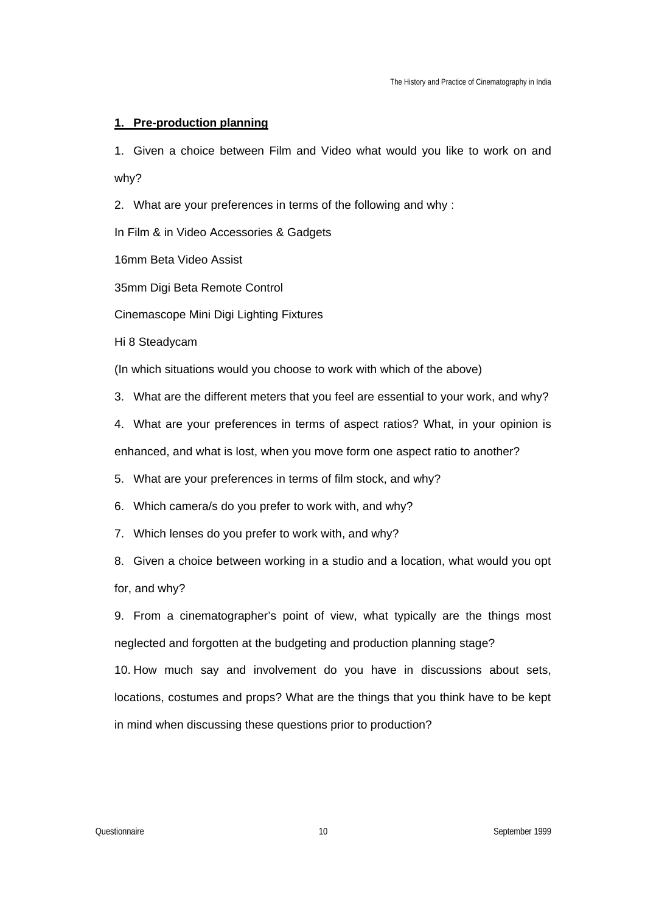### **1. Pre-production planning**

1. Given a choice between Film and Video what would you like to work on and why?

2. What are your preferences in terms of the following and why :

In Film & in Video Accessories & Gadgets

16mm Beta Video Assist

35mm Digi Beta Remote Control

Cinemascope Mini Digi Lighting Fixtures

Hi 8 Steadycam

(In which situations would you choose to work with which of the above)

3. What are the different meters that you feel are essential to your work, and why?

4. What are your preferences in terms of aspect ratios? What, in your opinion is enhanced, and what is lost, when you move form one aspect ratio to another?

5. What are your preferences in terms of film stock, and why?

6. Which camera/s do you prefer to work with, and why?

7. Which lenses do you prefer to work with, and why?

8. Given a choice between working in a studio and a location, what would you opt for, and why?

9. From a cinematographer's point of view, what typically are the things most neglected and forgotten at the budgeting and production planning stage?

10. How much say and involvement do you have in discussions about sets, locations, costumes and props? What are the things that you think have to be kept in mind when discussing these questions prior to production?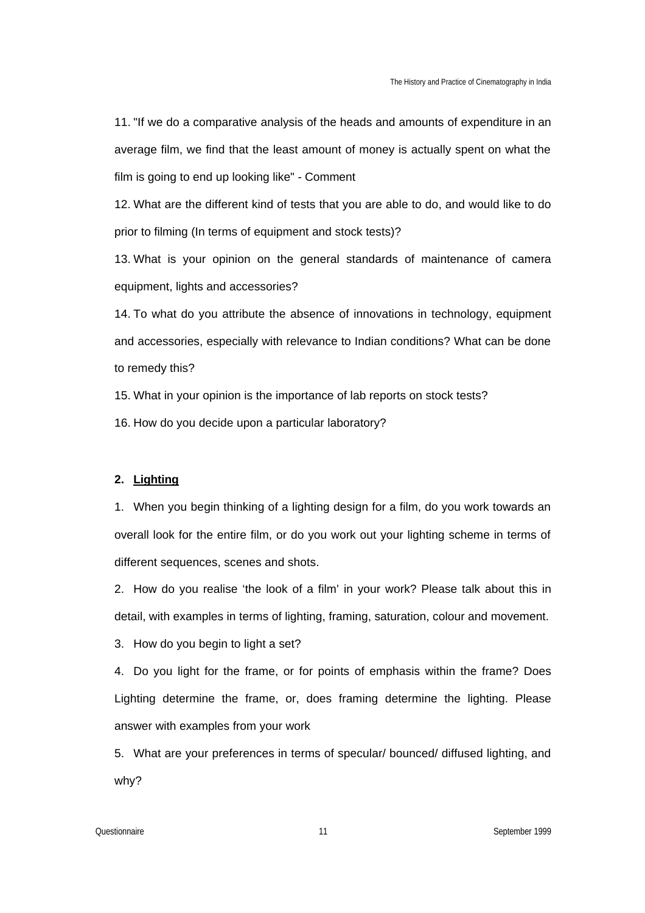11. "If we do a comparative analysis of the heads and amounts of expenditure in an average film, we find that the least amount of money is actually spent on what the film is going to end up looking like" - Comment

12. What are the different kind of tests that you are able to do, and would like to do prior to filming (In terms of equipment and stock tests)?

13. What is your opinion on the general standards of maintenance of camera equipment, lights and accessories?

14. To what do you attribute the absence of innovations in technology, equipment and accessories, especially with relevance to Indian conditions? What can be done to remedy this?

15. What in your opinion is the importance of lab reports on stock tests?

16. How do you decide upon a particular laboratory?

# **2. Lighting**

1. When you begin thinking of a lighting design for a film, do you work towards an overall look for the entire film, or do you work out your lighting scheme in terms of different sequences, scenes and shots.

2. How do you realise 'the look of a film' in your work? Please talk about this in detail, with examples in terms of lighting, framing, saturation, colour and movement.

3. How do you begin to light a set?

4. Do you light for the frame, or for points of emphasis within the frame? Does Lighting determine the frame, or, does framing determine the lighting. Please answer with examples from your work

5. What are your preferences in terms of specular/ bounced/ diffused lighting, and why?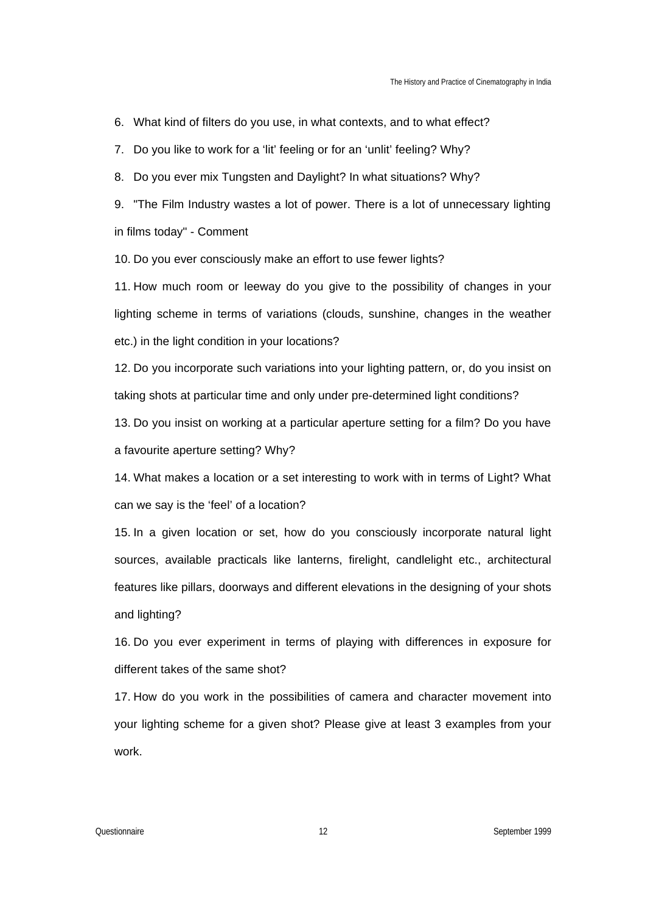6. What kind of filters do you use, in what contexts, and to what effect?

7. Do you like to work for a 'lit' feeling or for an 'unlit' feeling? Why?

8. Do you ever mix Tungsten and Daylight? In what situations? Why?

9. "The Film Industry wastes a lot of power. There is a lot of unnecessary lighting in films today" - Comment

10. Do you ever consciously make an effort to use fewer lights?

11. How much room or leeway do you give to the possibility of changes in your lighting scheme in terms of variations (clouds, sunshine, changes in the weather etc.) in the light condition in your locations?

12. Do you incorporate such variations into your lighting pattern, or, do you insist on taking shots at particular time and only under pre-determined light conditions?

13. Do you insist on working at a particular aperture setting for a film? Do you have a favourite aperture setting? Why?

14. What makes a location or a set interesting to work with in terms of Light? What can we say is the 'feel' of a location?

15. In a given location or set, how do you consciously incorporate natural light sources, available practicals like lanterns, firelight, candlelight etc., architectural features like pillars, doorways and different elevations in the designing of your shots and lighting?

16. Do you ever experiment in terms of playing with differences in exposure for different takes of the same shot?

17. How do you work in the possibilities of camera and character movement into your lighting scheme for a given shot? Please give at least 3 examples from your work.

Questionnaire 12 September 1999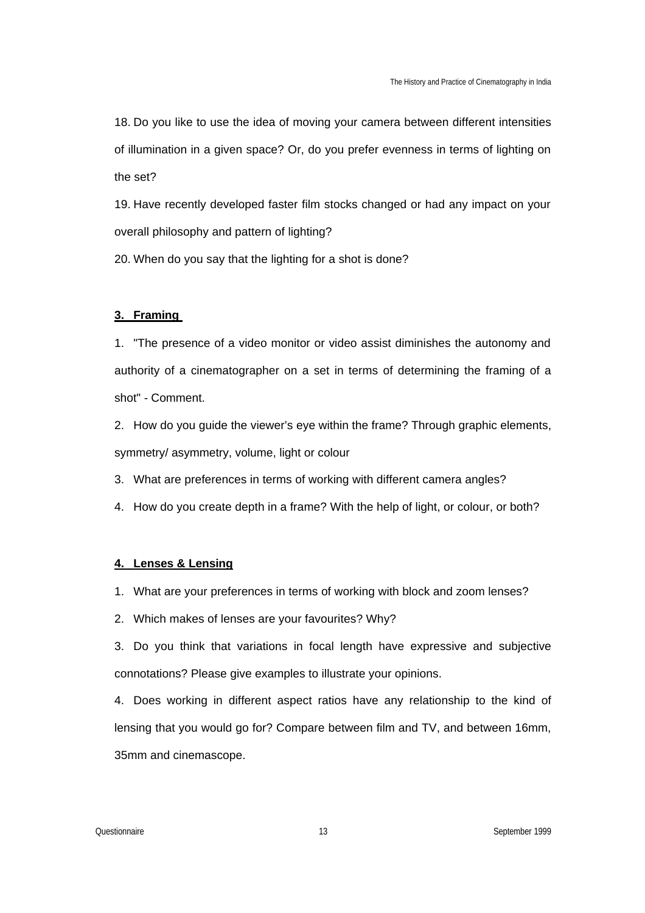18. Do you like to use the idea of moving your camera between different intensities of illumination in a given space? Or, do you prefer evenness in terms of lighting on the set?

19. Have recently developed faster film stocks changed or had any impact on your overall philosophy and pattern of lighting?

20. When do you say that the lighting for a shot is done?

### **3. Framing**

1. "The presence of a video monitor or video assist diminishes the autonomy and authority of a cinematographer on a set in terms of determining the framing of a shot" - Comment.

2. How do you guide the viewer's eye within the frame? Through graphic elements, symmetry/ asymmetry, volume, light or colour

3. What are preferences in terms of working with different camera angles?

4. How do you create depth in a frame? With the help of light, or colour, or both?

### **4. Lenses & Lensing**

1. What are your preferences in terms of working with block and zoom lenses?

2. Which makes of lenses are your favourites? Why?

3. Do you think that variations in focal length have expressive and subjective connotations? Please give examples to illustrate your opinions.

4. Does working in different aspect ratios have any relationship to the kind of lensing that you would go for? Compare between film and TV, and between 16mm, 35mm and cinemascope.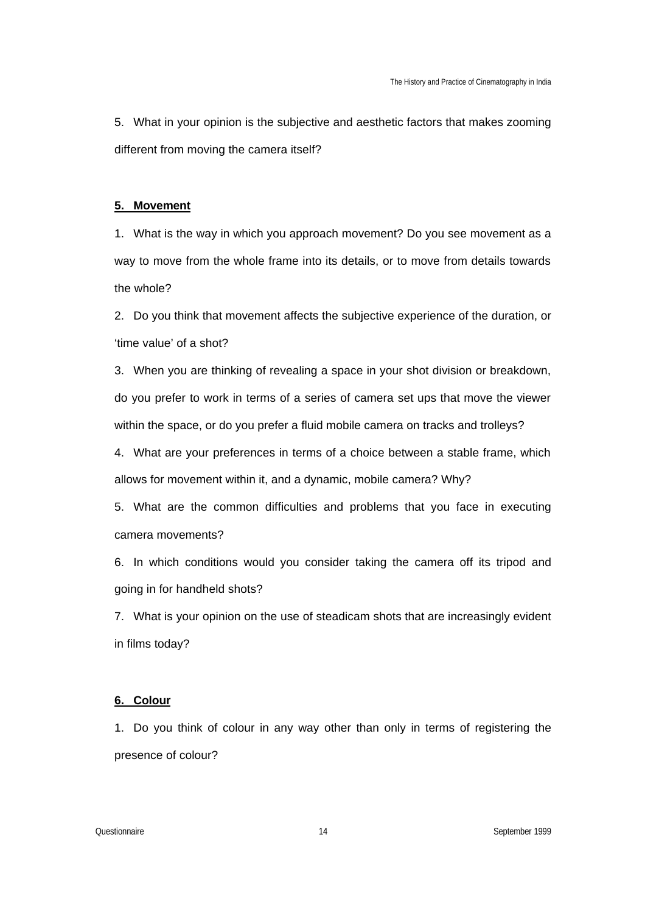5. What in your opinion is the subjective and aesthetic factors that makes zooming different from moving the camera itself?

### **5. Movement**

1. What is the way in which you approach movement? Do you see movement as a way to move from the whole frame into its details, or to move from details towards the whole?

2. Do you think that movement affects the subjective experience of the duration, or 'time value' of a shot?

3. When you are thinking of revealing a space in your shot division or breakdown, do you prefer to work in terms of a series of camera set ups that move the viewer within the space, or do you prefer a fluid mobile camera on tracks and trolleys?

4. What are your preferences in terms of a choice between a stable frame, which allows for movement within it, and a dynamic, mobile camera? Why?

5. What are the common difficulties and problems that you face in executing camera movements?

6. In which conditions would you consider taking the camera off its tripod and going in for handheld shots?

7. What is your opinion on the use of steadicam shots that are increasingly evident in films today?

### **6. Colour**

1. Do you think of colour in any way other than only in terms of registering the presence of colour?

Questionnaire 14 September 1999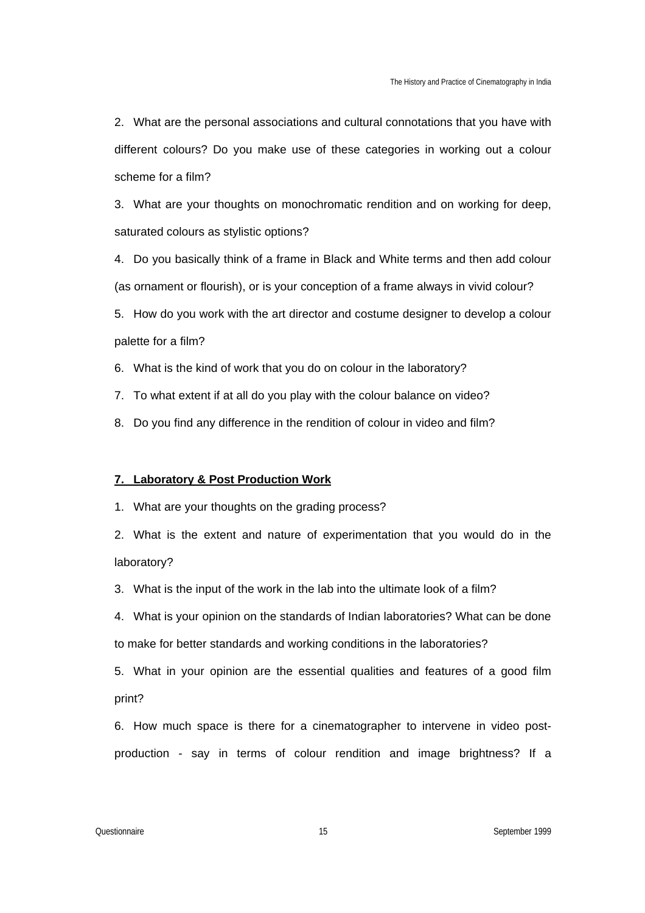2. What are the personal associations and cultural connotations that you have with different colours? Do you make use of these categories in working out a colour scheme for a film?

3. What are your thoughts on monochromatic rendition and on working for deep, saturated colours as stylistic options?

4. Do you basically think of a frame in Black and White terms and then add colour (as ornament or flourish), or is your conception of a frame always in vivid colour?

5. How do you work with the art director and costume designer to develop a colour palette for a film?

6. What is the kind of work that you do on colour in the laboratory?

7. To what extent if at all do you play with the colour balance on video?

8. Do you find any difference in the rendition of colour in video and film?

# **7. Laboratory & Post Production Work**

1. What are your thoughts on the grading process?

2. What is the extent and nature of experimentation that you would do in the laboratory?

3. What is the input of the work in the lab into the ultimate look of a film?

4. What is your opinion on the standards of Indian laboratories? What can be done to make for better standards and working conditions in the laboratories?

5. What in your opinion are the essential qualities and features of a good film print?

6. How much space is there for a cinematographer to intervene in video postproduction - say in terms of colour rendition and image brightness? If a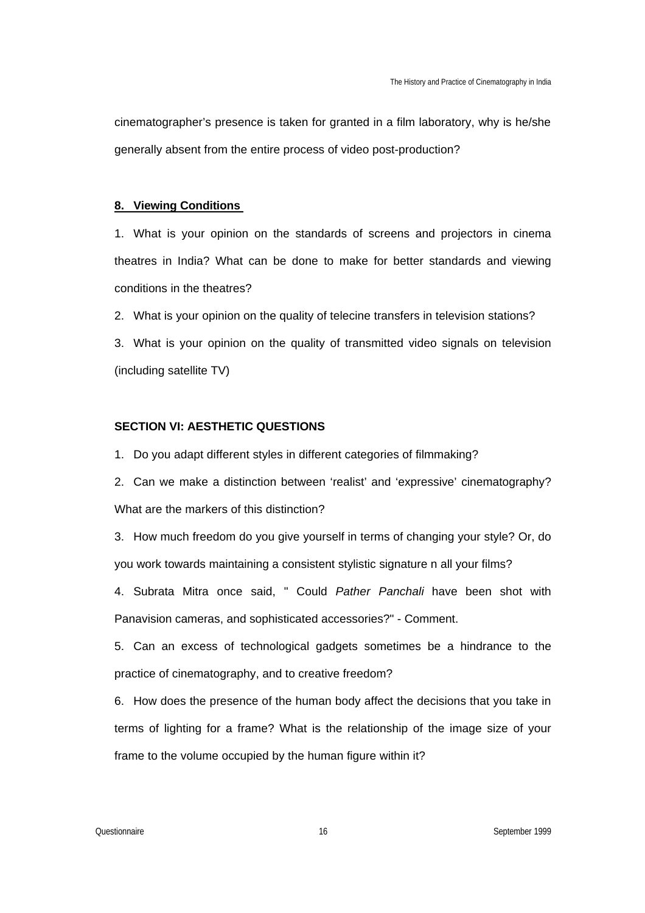cinematographer's presence is taken for granted in a film laboratory, why is he/she generally absent from the entire process of video post-production?

### **8. Viewing Conditions**

1. What is your opinion on the standards of screens and projectors in cinema theatres in India? What can be done to make for better standards and viewing conditions in the theatres?

2. What is your opinion on the quality of telecine transfers in television stations?

3. What is your opinion on the quality of transmitted video signals on television (including satellite TV)

# **SECTION VI: AESTHETIC QUESTIONS**

1. Do you adapt different styles in different categories of filmmaking?

2. Can we make a distinction between 'realist' and 'expressive' cinematography? What are the markers of this distinction?

3. How much freedom do you give yourself in terms of changing your style? Or, do you work towards maintaining a consistent stylistic signature n all your films?

4. Subrata Mitra once said, " Could *Pather Panchali* have been shot with Panavision cameras, and sophisticated accessories?" - Comment.

5. Can an excess of technological gadgets sometimes be a hindrance to the practice of cinematography, and to creative freedom?

6. How does the presence of the human body affect the decisions that you take in terms of lighting for a frame? What is the relationship of the image size of your frame to the volume occupied by the human figure within it?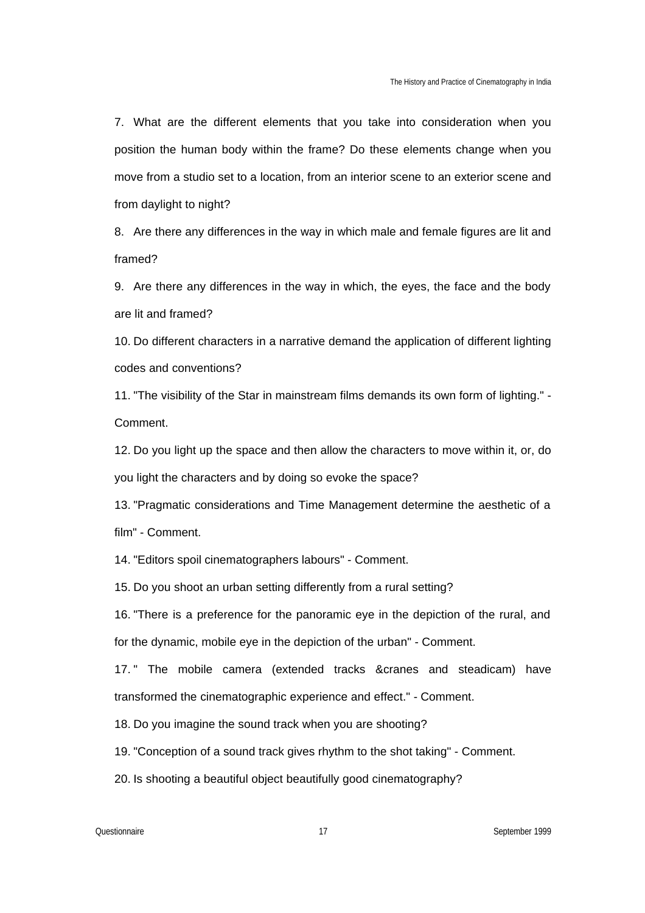7. What are the different elements that you take into consideration when you position the human body within the frame? Do these elements change when you move from a studio set to a location, from an interior scene to an exterior scene and from daylight to night?

8. Are there any differences in the way in which male and female figures are lit and framed?

9. Are there any differences in the way in which, the eyes, the face and the body are lit and framed?

10. Do different characters in a narrative demand the application of different lighting codes and conventions?

11. "The visibility of the Star in mainstream films demands its own form of lighting." - Comment.

12. Do you light up the space and then allow the characters to move within it, or, do you light the characters and by doing so evoke the space?

13. "Pragmatic considerations and Time Management determine the aesthetic of a film" - Comment.

14. "Editors spoil cinematographers labours" - Comment.

15. Do you shoot an urban setting differently from a rural setting?

16. "There is a preference for the panoramic eye in the depiction of the rural, and for the dynamic, mobile eye in the depiction of the urban" - Comment.

17. " The mobile camera (extended tracks &cranes and steadicam) have transformed the cinematographic experience and effect." - Comment.

18. Do you imagine the sound track when you are shooting?

19. "Conception of a sound track gives rhythm to the shot taking" - Comment.

20. Is shooting a beautiful object beautifully good cinematography?